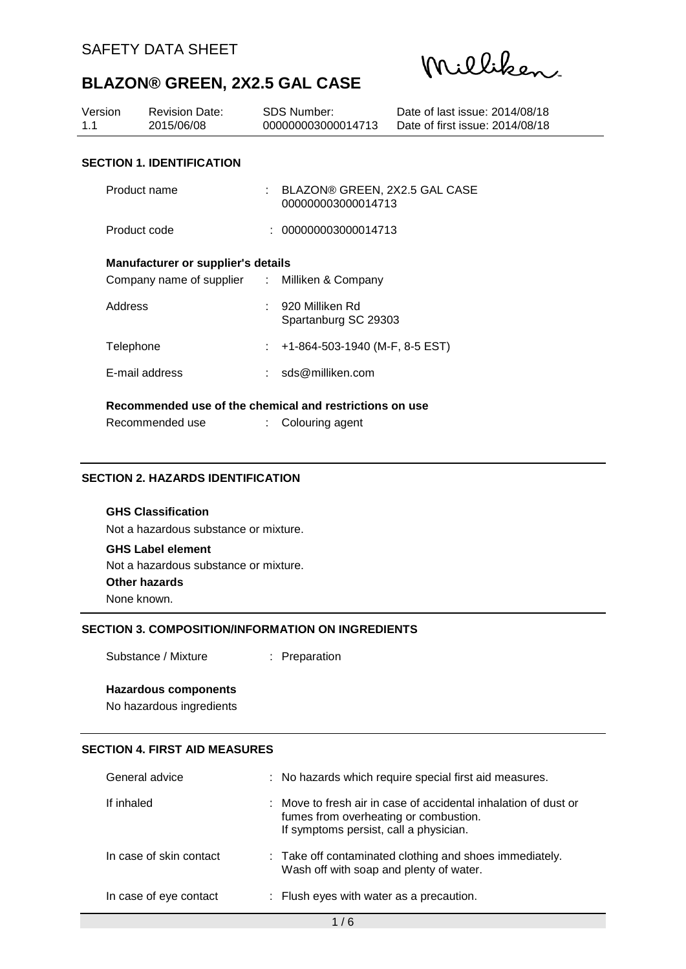Milliken

| Version<br>1.1                                     | <b>Revision Date:</b><br>2015/06/08           |  | SDS Number:<br>000000003000014713                       | Date of last issue: 2014/08/18<br>Date of first issue: 2014/08/18 |  |
|----------------------------------------------------|-----------------------------------------------|--|---------------------------------------------------------|-------------------------------------------------------------------|--|
|                                                    | <b>SECTION 1. IDENTIFICATION</b>              |  |                                                         |                                                                   |  |
| Product name                                       |                                               |  | : BLAZON® GREEN, 2X2.5 GAL CASE<br>000000003000014713   |                                                                   |  |
| Product code                                       |                                               |  | : 000000003000014713                                    |                                                                   |  |
| <b>Manufacturer or supplier's details</b>          |                                               |  |                                                         |                                                                   |  |
|                                                    | Company name of supplier : Milliken & Company |  |                                                         |                                                                   |  |
| 920 Milliken Rd<br>Address<br>Spartanburg SC 29303 |                                               |  |                                                         |                                                                   |  |
|                                                    | +1-864-503-1940 (M-F, 8-5 EST)<br>Telephone   |  |                                                         |                                                                   |  |
|                                                    | E-mail address                                |  | : sds@milliken.com                                      |                                                                   |  |
|                                                    |                                               |  | Recommended use of the chemical and restrictions on use |                                                                   |  |
|                                                    | Recommended use                               |  | Colouring agent                                         |                                                                   |  |

### **SECTION 2. HAZARDS IDENTIFICATION**

### **GHS Classification**

Not a hazardous substance or mixture.

### **GHS Label element**

Not a hazardous substance or mixture.

**Other hazards**

None known.

# **SECTION 3. COMPOSITION/INFORMATION ON INGREDIENTS**

Substance / Mixture : Preparation

#### **Hazardous components**

No hazardous ingredients

## **SECTION 4. FIRST AID MEASURES**

| General advice          | : No hazards which require special first aid measures.                                                                                             |
|-------------------------|----------------------------------------------------------------------------------------------------------------------------------------------------|
| If inhaled              | : Move to fresh air in case of accidental inhalation of dust or<br>fumes from overheating or combustion.<br>If symptoms persist, call a physician. |
| In case of skin contact | : Take off contaminated clothing and shoes immediately.<br>Wash off with soap and plenty of water.                                                 |
| In case of eye contact  | : Flush eyes with water as a precaution.                                                                                                           |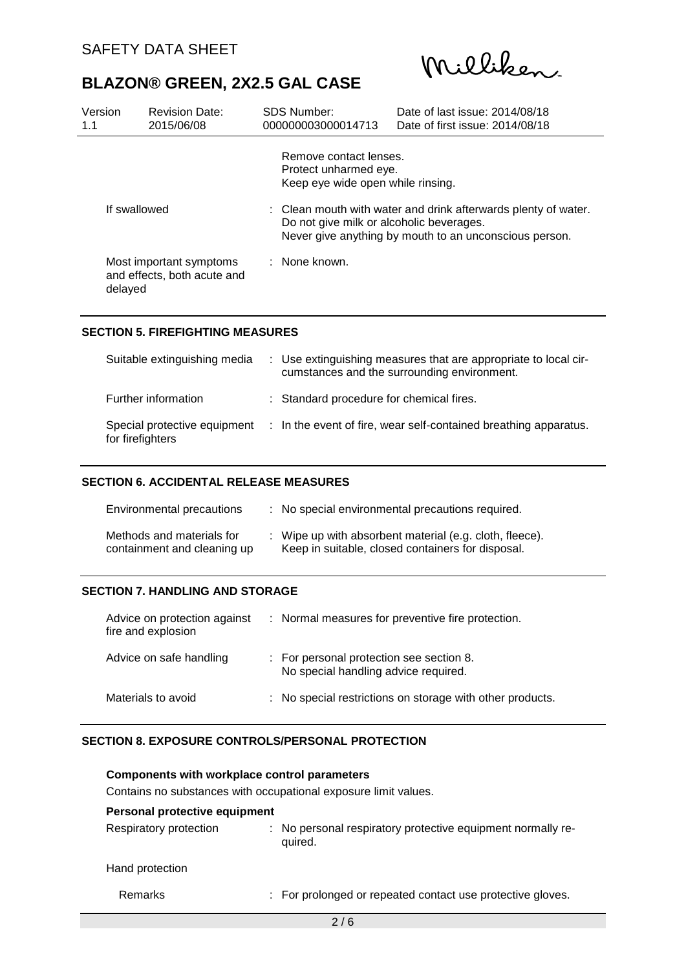Milliken

| Version<br>1.1 | <b>Revision Date:</b><br>2015/06/08                    | <b>SDS Number:</b><br>000000003000014713                                                                                                                             | Date of last issue: 2014/08/18<br>Date of first issue: 2014/08/18 |  |
|----------------|--------------------------------------------------------|----------------------------------------------------------------------------------------------------------------------------------------------------------------------|-------------------------------------------------------------------|--|
|                |                                                        | Remove contact lenses.<br>Protect unharmed eye.<br>Keep eye wide open while rinsing.                                                                                 |                                                                   |  |
| If swallowed   |                                                        | : Clean mouth with water and drink afterwards plenty of water.<br>Do not give milk or alcoholic beverages.<br>Never give anything by mouth to an unconscious person. |                                                                   |  |
| delayed        | Most important symptoms<br>and effects, both acute and | : None known.                                                                                                                                                        |                                                                   |  |

### **SECTION 5. FIREFIGHTING MEASURES**

| Suitable extinguishing media                     | : Use extinguishing measures that are appropriate to local cir-<br>cumstances and the surrounding environment. |
|--------------------------------------------------|----------------------------------------------------------------------------------------------------------------|
| Further information                              | : Standard procedure for chemical fires.                                                                       |
| Special protective equipment<br>for firefighters | : In the event of fire, wear self-contained breathing apparatus.                                               |

### **SECTION 6. ACCIDENTAL RELEASE MEASURES**

| Environmental precautions                                | : No special environmental precautions required.                                                             |
|----------------------------------------------------------|--------------------------------------------------------------------------------------------------------------|
| Methods and materials for<br>containment and cleaning up | : Wipe up with absorbent material (e.g. cloth, fleece).<br>Keep in suitable, closed containers for disposal. |

### **SECTION 7. HANDLING AND STORAGE**

| Advice on protection against<br>fire and explosion | : Normal measures for preventive fire protection.                                |
|----------------------------------------------------|----------------------------------------------------------------------------------|
| Advice on safe handling                            | : For personal protection see section 8.<br>No special handling advice required. |
| Materials to avoid                                 | : No special restrictions on storage with other products.                        |

### **SECTION 8. EXPOSURE CONTROLS/PERSONAL PROTECTION**

| <b>Components with workplace control parameters</b><br>Contains no substances with occupational exposure limit values. |                                                                           |  |  |  |
|------------------------------------------------------------------------------------------------------------------------|---------------------------------------------------------------------------|--|--|--|
| Personal protective equipment                                                                                          |                                                                           |  |  |  |
| Respiratory protection                                                                                                 | No personal respiratory protective equipment normally re-<br>÷<br>quired. |  |  |  |
| Hand protection                                                                                                        |                                                                           |  |  |  |
| Remarks                                                                                                                | : For prolonged or repeated contact use protective gloves.                |  |  |  |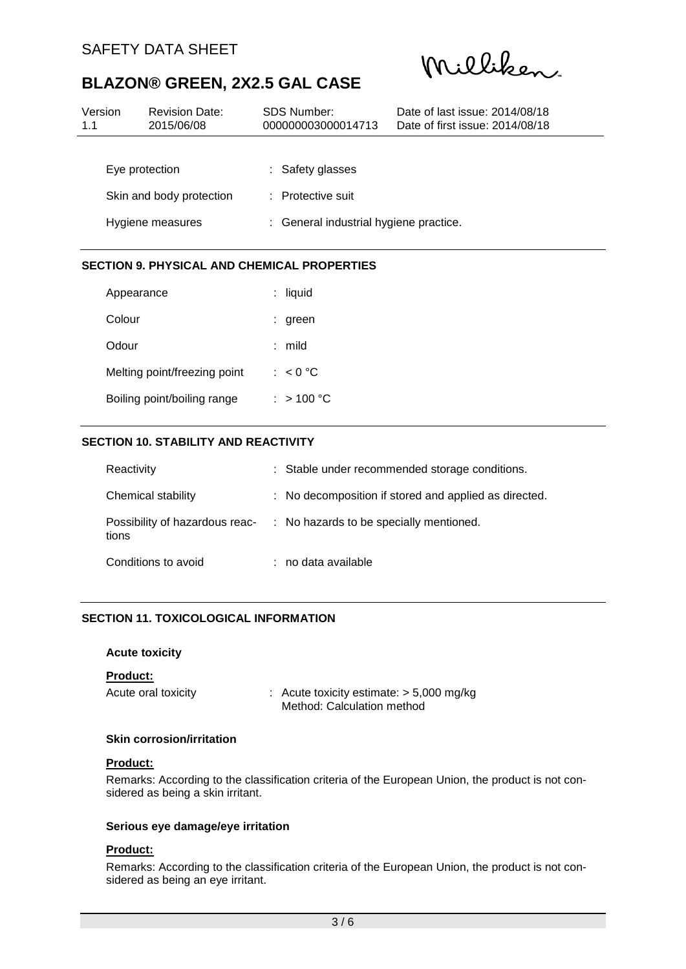Milliken

| Version<br>1.1           | <b>Revision Date:</b><br>2015/06/08 | <b>SDS Number:</b><br>000000003000014713 | Date of last issue: 2014/08/18<br>Date of first issue: 2014/08/18 |  |  |
|--------------------------|-------------------------------------|------------------------------------------|-------------------------------------------------------------------|--|--|
|                          |                                     |                                          |                                                                   |  |  |
|                          | Eye protection                      | : Safety glasses                         |                                                                   |  |  |
| Skin and body protection |                                     | : Protective suit                        |                                                                   |  |  |
| Hygiene measures         |                                     |                                          | : General industrial hygiene practice.                            |  |  |

### **SECTION 9. PHYSICAL AND CHEMICAL PROPERTIES**

| Appearance                   | $:$ liquid |
|------------------------------|------------|
| Colour                       | $:$ green  |
| Odour                        | mild       |
| Melting point/freezing point | : $< 0$ °C |
| Boiling point/boiling range  | : > 100 °C |

## **SECTION 10. STABILITY AND REACTIVITY**

| Reactivity          | : Stable under recommended storage conditions.                         |
|---------------------|------------------------------------------------------------------------|
| Chemical stability  | : No decomposition if stored and applied as directed.                  |
| tions               | Possibility of hazardous reac- : No hazards to be specially mentioned. |
| Conditions to avoid | : no data available                                                    |

# **SECTION 11. TOXICOLOGICAL INFORMATION**

### **Acute toxicity**

### **Product:**

| Acute oral toxicity | : Acute toxicity estimate: $> 5,000$ mg/kg |
|---------------------|--------------------------------------------|
|                     | Method: Calculation method                 |

### **Skin corrosion/irritation**

### **Product:**

Remarks: According to the classification criteria of the European Union, the product is not considered as being a skin irritant.

### **Serious eye damage/eye irritation**

### **Product:**

Remarks: According to the classification criteria of the European Union, the product is not considered as being an eye irritant.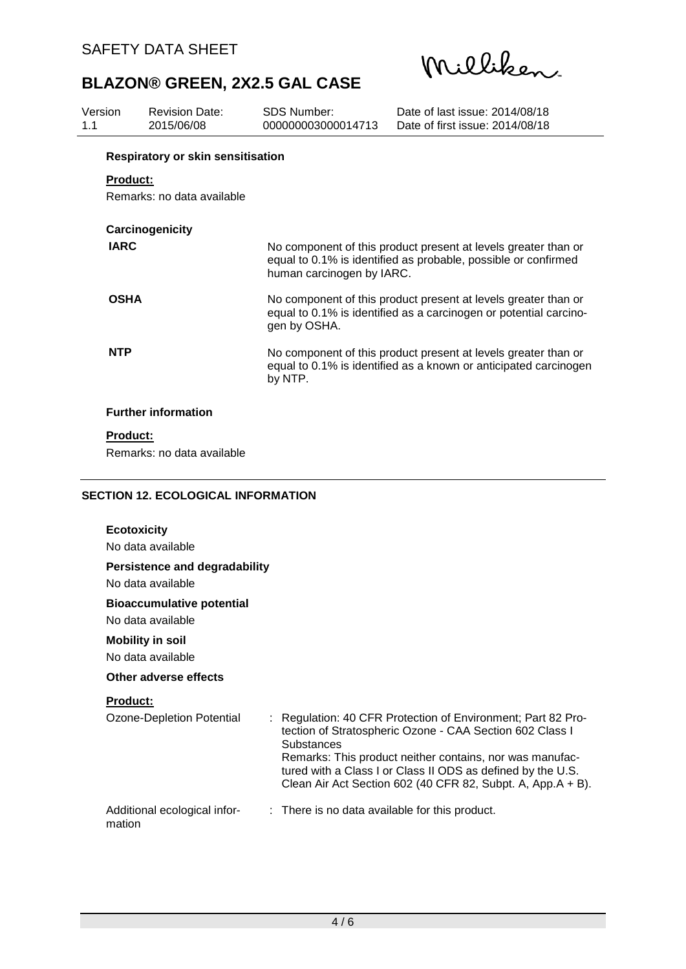Milliken

| SDS Number:<br>Version<br>Revision Date:<br>2015/06/08<br>000000003000014713<br>11 | Date of last issue: 2014/08/18<br>Date of first issue: 2014/08/18 |
|------------------------------------------------------------------------------------|-------------------------------------------------------------------|
|------------------------------------------------------------------------------------|-------------------------------------------------------------------|

# **Respiratory or skin sensitisation**

# **Product:**

Remarks: no data available

| Carcinogenicity            |                                                                                                                                                               |
|----------------------------|---------------------------------------------------------------------------------------------------------------------------------------------------------------|
| <b>IARC</b>                | No component of this product present at levels greater than or<br>equal to 0.1% is identified as probable, possible or confirmed<br>human carcinogen by IARC. |
| <b>OSHA</b>                | No component of this product present at levels greater than or<br>equal to 0.1% is identified as a carcinogen or potential carcino-<br>gen by OSHA.           |
| <b>NTP</b>                 | No component of this product present at levels greater than or<br>equal to 0.1% is identified as a known or anticipated carcinogen<br>by NTP.                 |
| <b>Further information</b> |                                                                                                                                                               |

# **Product:**

Remarks: no data available

### **SECTION 12. ECOLOGICAL INFORMATION**

| <b>Ecotoxicity</b>                                        |                                                                                                                                                                                                                                                                                                                                  |
|-----------------------------------------------------------|----------------------------------------------------------------------------------------------------------------------------------------------------------------------------------------------------------------------------------------------------------------------------------------------------------------------------------|
| No data available                                         |                                                                                                                                                                                                                                                                                                                                  |
| <b>Persistence and degradability</b><br>No data available |                                                                                                                                                                                                                                                                                                                                  |
| <b>Bioaccumulative potential</b><br>No data available     |                                                                                                                                                                                                                                                                                                                                  |
| <b>Mobility in soil</b><br>No data available              |                                                                                                                                                                                                                                                                                                                                  |
| Other adverse effects                                     |                                                                                                                                                                                                                                                                                                                                  |
| <b>Product:</b>                                           |                                                                                                                                                                                                                                                                                                                                  |
| Ozone-Depletion Potential                                 | : Regulation: 40 CFR Protection of Environment; Part 82 Pro-<br>tection of Stratospheric Ozone - CAA Section 602 Class I<br>Substances<br>Remarks: This product neither contains, nor was manufac-<br>tured with a Class I or Class II ODS as defined by the U.S.<br>Clean Air Act Section 602 (40 CFR 82, Subpt. A, App.A + B). |
| Additional ecological infor-<br>mation                    | : There is no data available for this product.                                                                                                                                                                                                                                                                                   |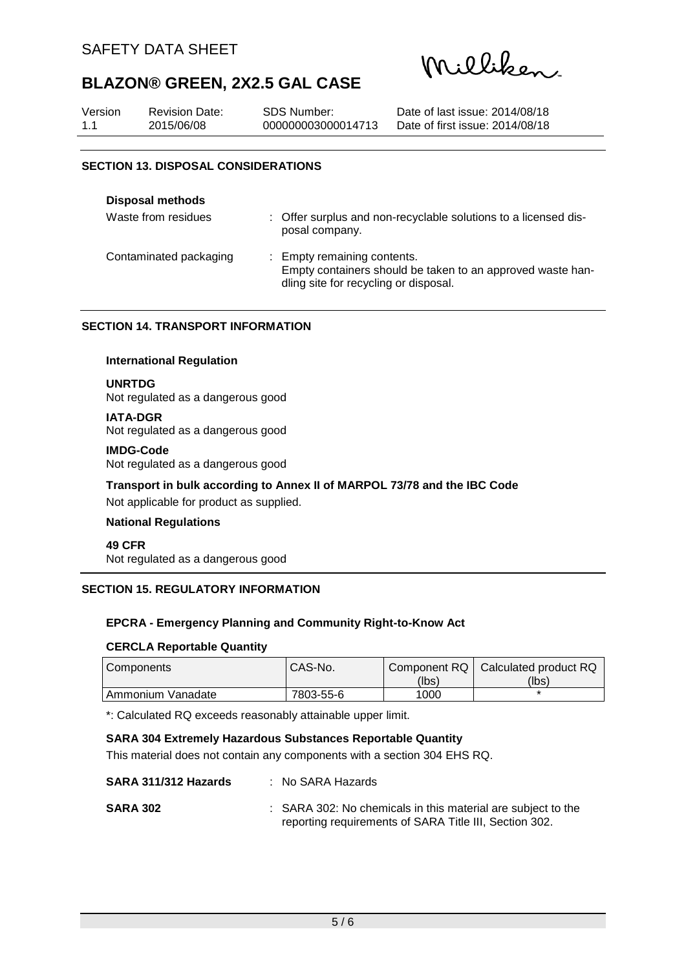Milliken.

| Version | <b>Revision Date:</b> | SDS Number:        | Date of last issue: 2014/08/18  |
|---------|-----------------------|--------------------|---------------------------------|
| 1.1     | 2015/06/08            | 000000003000014713 | Date of first issue: 2014/08/18 |

### **SECTION 13. DISPOSAL CONSIDERATIONS**

| <b>Disposal methods</b> |                                                                                                                                    |
|-------------------------|------------------------------------------------------------------------------------------------------------------------------------|
| Waste from residues     | : Offer surplus and non-recyclable solutions to a licensed dis-<br>posal company.                                                  |
| Contaminated packaging  | : Empty remaining contents.<br>Empty containers should be taken to an approved waste han-<br>dling site for recycling or disposal. |

### **SECTION 14. TRANSPORT INFORMATION**

### **International Regulation**

### **UNRTDG**

Not regulated as a dangerous good

# **IATA-DGR**

Not regulated as a dangerous good

### **IMDG-Code**

Not regulated as a dangerous good

## **Transport in bulk according to Annex II of MARPOL 73/78 and the IBC Code**

Not applicable for product as supplied.

## **National Regulations**

**49 CFR** Not regulated as a dangerous good

# **SECTION 15. REGULATORY INFORMATION**

# **EPCRA - Emergency Planning and Community Right-to-Know Act**

### **CERCLA Reportable Quantity**

| Components          | CAS-No.   |       | Component RQ   Calculated product RQ |
|---------------------|-----------|-------|--------------------------------------|
|                     |           | (lbs) | (lbs)                                |
| l Ammonium Vanadate | 7803-55-6 | 1000  |                                      |

\*: Calculated RQ exceeds reasonably attainable upper limit.

## **SARA 304 Extremely Hazardous Substances Reportable Quantity**

This material does not contain any components with a section 304 EHS RQ.

| SARA 311/312 Hazards | $:$ No SARA Hazards                                                                                                    |
|----------------------|------------------------------------------------------------------------------------------------------------------------|
| <b>SARA 302</b>      | : SARA 302: No chemicals in this material are subject to the<br>reporting requirements of SARA Title III, Section 302. |